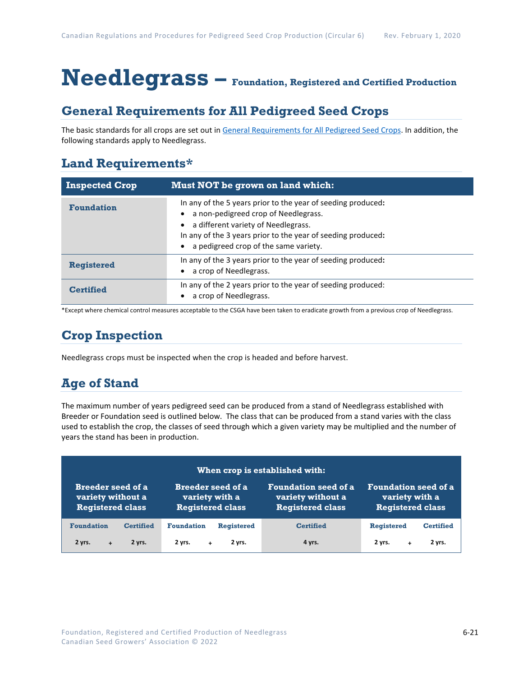# **Needlegrass – Foundation, Registered and Certified Production**

### **General Requirements for All Pedigreed Seed Crops**

The basic standards for all crops are set out i[n General Requirements for All Pedigreed Seed](https://seedgrowers.ca/wp-content/uploads/2020/01/GENERAL-REQUIREMENTS-ALL-CROPS_EN.pdf) Crops. In addition, the following standards apply to Needlegrass.

### **Land Requirements\***

| <b>Inspected Crop</b> | Must NOT be grown on land which:                                                                                                                                                                                                                     |
|-----------------------|------------------------------------------------------------------------------------------------------------------------------------------------------------------------------------------------------------------------------------------------------|
| <b>Foundation</b>     | In any of the 5 years prior to the year of seeding produced:<br>a non-pedigreed crop of Needlegrass.<br>a different variety of Needlegrass.<br>In any of the 3 years prior to the year of seeding produced:<br>a pedigreed crop of the same variety. |
| <b>Registered</b>     | In any of the 3 years prior to the year of seeding produced:<br>a crop of Needlegrass.                                                                                                                                                               |
| <b>Certified</b>      | In any of the 2 years prior to the year of seeding produced:<br>a crop of Needlegrass.                                                                                                                                                               |

\*Except where chemical control measures acceptable to the CSGA have been taken to eradicate growth from a previous crop of Needlegrass.

### **Crop Inspection**

Needlegrass crops must be inspected when the crop is headed and before harvest.

## **Age of Stand**

The maximum number of years pedigreed seed can be produced from a stand of Needlegrass established with Breeder or Foundation seed is outlined below. The class that can be produced from a stand varies with the class used to establish the crop, the classes of seed through which a given variety may be multiplied and the number of years the stand has been in production.

| When crop is established with: |                          |                             |                             |  |
|--------------------------------|--------------------------|-----------------------------|-----------------------------|--|
| <b>Breeder seed of a</b>       | <b>Breeder seed of a</b> | <b>Foundation seed of a</b> | <b>Foundation seed of a</b> |  |
| variety without a              | variety with a           | variety without a           | variety with a              |  |
| <b>Registered class</b>        | <b>Registered class</b>  | <b>Registered class</b>     | <b>Registered class</b>     |  |
| <b>Foundation</b>              | <b>Foundation</b>        | <b>Certified</b>            | <b>Registered</b>           |  |
| <b>Certified</b>               | <b>Registered</b>        |                             | <b>Certified</b>            |  |
| 2 yrs.                         | 2 vrs.                   | 4 yrs.                      | 2 vrs.                      |  |
| 2 vrs.                         | 2 vrs.                   |                             | 2 yrs.                      |  |
| $+$                            | $+$                      |                             | ÷                           |  |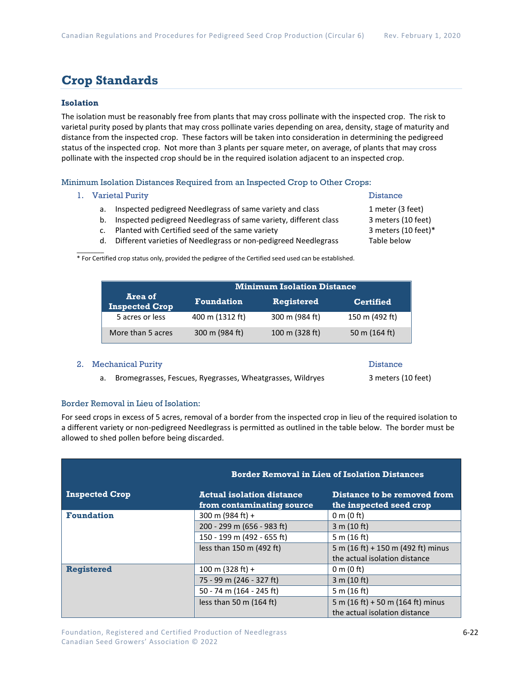### **Crop Standards**

### **Isolation**

The isolation must be reasonably free from plants that may cross pollinate with the inspected crop. The risk to varietal purity posed by plants that may cross pollinate varies depending on area, density, stage of maturity and distance from the inspected crop. These factors will be taken into consideration in determining the pedigreed status of the inspected crop. Not more than 3 plants per square meter, on average, of plants that may cross pollinate with the inspected crop should be in the required isolation adjacent to an inspected crop.

Minimum Isolation Distances Required from an Inspected Crop to Other Crops:

#### 1. Varietal Purity **Distance**

- a. Inspected pedigreed Needlegrass of same variety and class 1 meter (3 feet)
- b. Inspected pedigreed Needlegrass of same variety, different class 3 meters (10 feet)
- c. Planted with Certified seed of the same variety 3 meters (10 feet)\*
- d. Different varieties of Needlegrass or non-pedigreed Needlegrass Table below

 $\mathcal{L}$ \* For Certified crop status only, provided the pedigree of the Certified seed used can be established.

|                                  | <b>Minimum Isolation Distance</b> |                   |                  |
|----------------------------------|-----------------------------------|-------------------|------------------|
| Area of<br><b>Inspected Crop</b> | <b>Foundation</b>                 | <b>Registered</b> | <b>Certified</b> |
| 5 acres or less                  | 400 m (1312 ft)                   | 300 m (984 ft)    | 150 m (492 ft)   |
| More than 5 acres                | 300 m (984 ft)                    | 100 m (328 ft)    | 50 m (164 ft)    |

#### 2. Mechanical Purity **Distance** Distance

a. Bromegrasses, Fescues, Ryegrasses, Wheatgrasses, Wildryes 3 meters (10 feet)

#### Border Removal in Lieu of Isolation:

For seed crops in excess of 5 acres, removal of a border from the inspected crop in lieu of the required isolation to a different variety or non-pedigreed Needlegrass is permitted as outlined in the table below. The border must be allowed to shed pollen before being discarded.

|                       |                                                               | <b>Border Removal in Lieu of Isolation Distances</b>               |  |
|-----------------------|---------------------------------------------------------------|--------------------------------------------------------------------|--|
| <b>Inspected Crop</b> | <b>Actual isolation distance</b><br>from contaminating source | Distance to be removed from<br>the inspected seed crop             |  |
| <b>Foundation</b>     | 300 m (984 ft) +                                              | $0 \text{ m}$ (0 ft)                                               |  |
|                       | 200 - 299 m (656 - 983 ft)                                    | 3 m (10 ft)                                                        |  |
|                       | 150 - 199 m (492 - 655 ft)                                    | 5 m $(16 ft)$                                                      |  |
|                       | less than 150 m (492 ft)                                      | 5 m (16 ft) + 150 m (492 ft) minus                                 |  |
|                       |                                                               | the actual isolation distance                                      |  |
| <b>Registered</b>     | 100 m $(328 ft) +$                                            | $0 \text{ m}$ (0 ft)                                               |  |
|                       | 75 - 99 m (246 - 327 ft)                                      | 3 m (10 ft)                                                        |  |
|                       | 50 - 74 m (164 - 245 ft)                                      | 5 m (16 ft)                                                        |  |
|                       | less than 50 m $(164 ft)$                                     | 5 m (16 ft) + 50 m (164 ft) minus<br>the actual isolation distance |  |